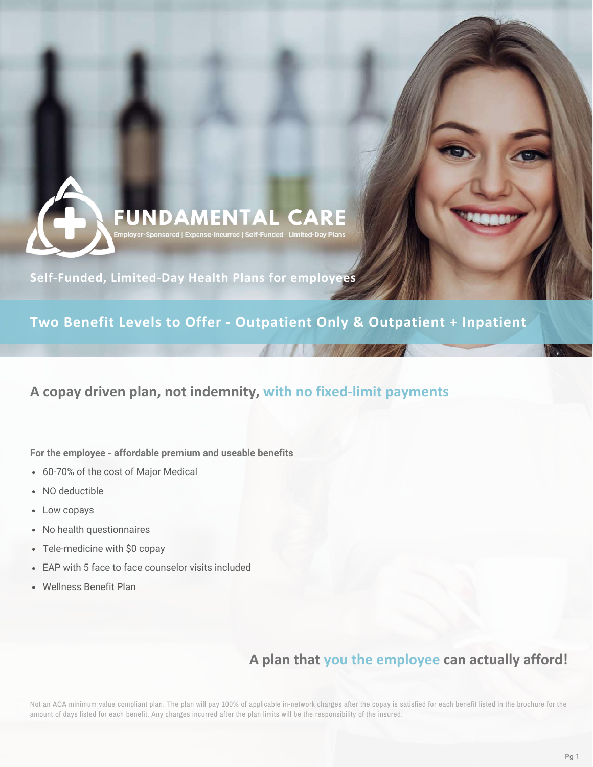

**Self-Funded, Limited-Day Health Plans for employees**

**Two Benefit Levels to Offer - Outpatient Only & Outpatient + Inpatient**

# **A copay driven plan, not indemnity, with no fixed-limit payments**

**For the employee - affordable premium and useable benefits**

- 60-70% of the cost of Major Medical
- NO deductible
- Low copays
- No health questionnaires
- Tele-medicine with \$0 copay
- EAP with 5 face to face counselor visits included
- Wellness Benefit Plan

# **A plan that you the employee can actually afford!**

Not an ACA minimum value compliant plan. The plan will pay 100% of applicable in-network charges after the copay is satisfied for each benefit listed in the brochure for the amount of days listed for each benefit. Any charges incurred after the plan limits will be the responsibility of the insured.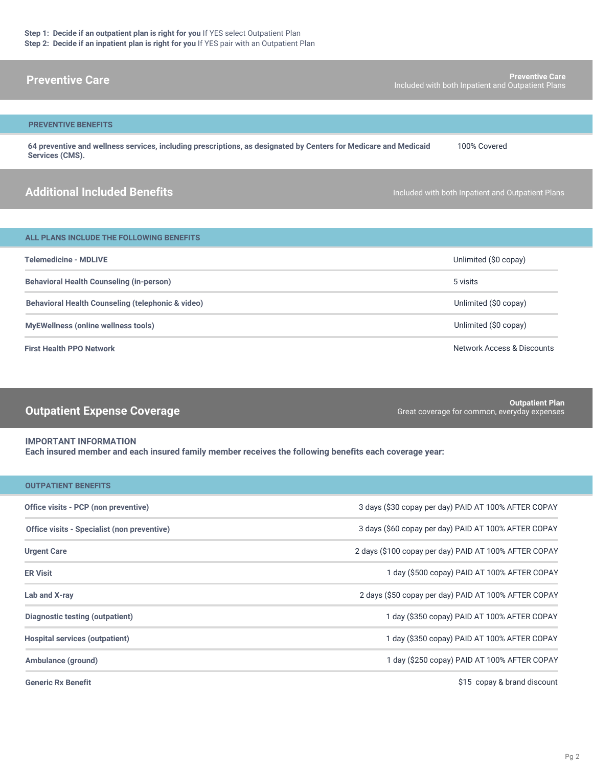| <b>Preventive Care</b>                                                                                                              | <b>Preventive Care</b><br>Included with both Inpatient and Outpatient Plans |  |
|-------------------------------------------------------------------------------------------------------------------------------------|-----------------------------------------------------------------------------|--|
|                                                                                                                                     |                                                                             |  |
| <b>PREVENTIVE BENEFITS</b>                                                                                                          |                                                                             |  |
| 64 preventive and wellness services, including prescriptions, as designated by Centers for Medicare and Medicaid<br>Services (CMS). | 100% Covered                                                                |  |
| <b>Additional Included Benefits</b>                                                                                                 | Included with both Inpatient and Outpatient Plans                           |  |
|                                                                                                                                     |                                                                             |  |
| ALL PLANS INCLUDE THE FOLLOWING BENEFITS                                                                                            |                                                                             |  |
| <b>Telemedicine - MDLIVE</b>                                                                                                        | Unlimited (\$0 copay)                                                       |  |
| <b>Behavioral Health Counseling (in-person)</b>                                                                                     | 5 visits                                                                    |  |
| <b>Behavioral Health Counseling (telephonic &amp; video)</b>                                                                        | Unlimited (\$0 copay)                                                       |  |
|                                                                                                                                     |                                                                             |  |

**MyEWellness (online wellness tools)** Unlimited (\$0 copay)

**First Health PPO Network** Network Access & Discounts

### **Outpatient Expense Coverage**

**Outpatient Plan** Great coverage for common, everyday expenses

#### **IMPORTANT INFORMATION**

**Each insured member and each insured family member receives the following benefits each coverage year:**

| <b>OUTPATIENT BENEFITS</b>                  |                                                       |
|---------------------------------------------|-------------------------------------------------------|
| Office visits - PCP (non preventive)        | 3 days (\$30 copay per day) PAID AT 100% AFTER COPAY  |
| Office visits - Specialist (non preventive) | 3 days (\$60 copay per day) PAID AT 100% AFTER COPAY  |
| <b>Urgent Care</b>                          | 2 days (\$100 copay per day) PAID AT 100% AFTER COPAY |
| <b>ER Visit</b>                             | 1 day (\$500 copay) PAID AT 100% AFTER COPAY          |
| Lab and X-ray                               | 2 days (\$50 copay per day) PAID AT 100% AFTER COPAY  |
| Diagnostic testing (outpatient)             | 1 day (\$350 copay) PAID AT 100% AFTER COPAY          |
| <b>Hospital services (outpatient)</b>       | 1 day (\$350 copay) PAID AT 100% AFTER COPAY          |
| Ambulance (ground)                          | 1 day (\$250 copay) PAID AT 100% AFTER COPAY          |
| <b>Generic Rx Benefit</b>                   | \$15 copay & brand discount                           |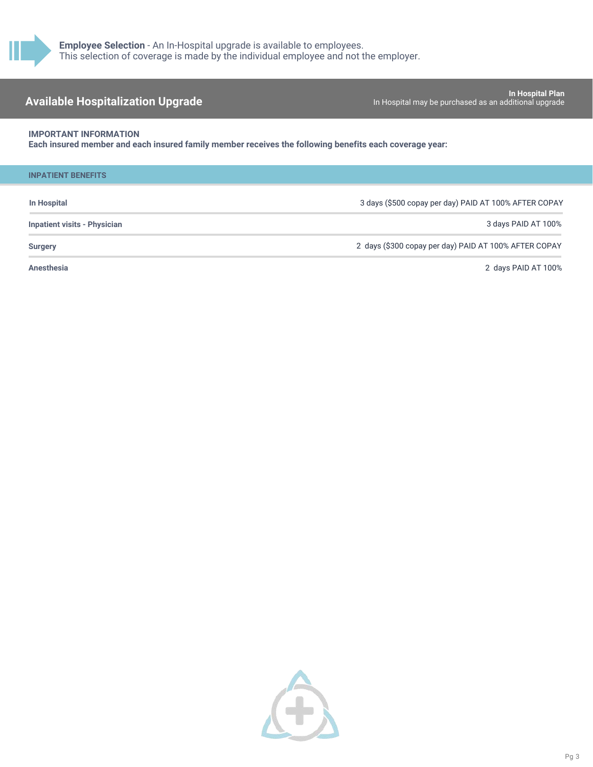

In Hospital Plan<br>In Hospital **Plan** In Hospital may be purchased as an additional upgrade

### **IMPORTANT INFORMATION**

**Each insured member and each insured family member receives the following benefits each coverage year:**

| <b>INPATIENT BENEFITS</b>           |                                                       |
|-------------------------------------|-------------------------------------------------------|
| In Hospital                         | 3 days (\$500 copay per day) PAID AT 100% AFTER COPAY |
| <b>Inpatient visits - Physician</b> | 3 days PAID AT 100%                                   |
| <b>Surgery</b>                      | 2 days (\$300 copay per day) PAID AT 100% AFTER COPAY |
| <b>Anesthesia</b>                   | 2 days PAID AT 100%                                   |

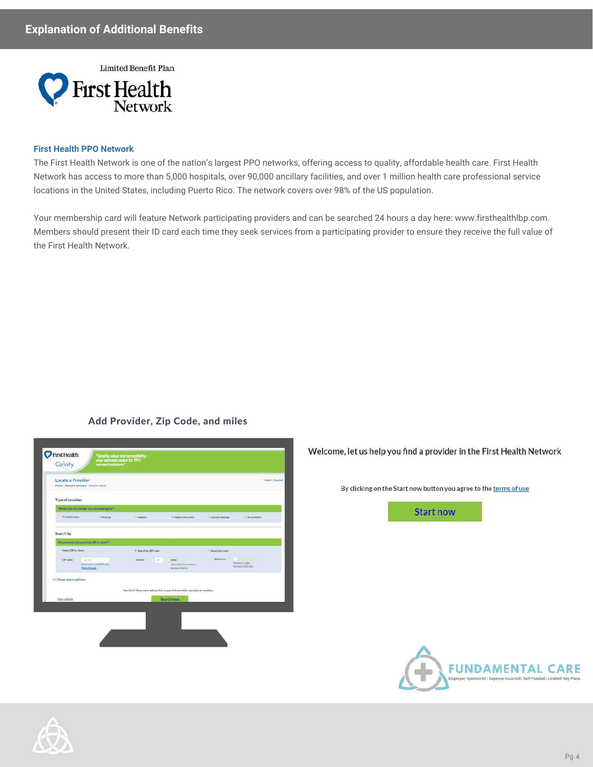

### **First Health PPO Network**

The First Health Network is one of the nation's largest PPO networks, offering access to quality, affordable health care. First Health Network has access to more than 5,000 hospitals, over 90,000 ancillary facilities, and over 1 million health care professional service locations in the United States, including Puerto Rico. The network covers over 98% of the US population.

Your membership card will feature Network participating providers and can be searched 24 hours a day here: www.firsthealthlbp.com. Members should present their ID card each time they seek services from a participating provider to ensure they receive the full value of the First Health Network.

### Add Provider, Zip Code, and miles

| Locate a Provider                                                                                                                                                                      | Hane - Network selection - Tearch criteria                      |                      |    |                                                                                   |                 |                                | <b>English   Expañol</b> |
|----------------------------------------------------------------------------------------------------------------------------------------------------------------------------------------|-----------------------------------------------------------------|----------------------|----|-----------------------------------------------------------------------------------|-----------------|--------------------------------|--------------------------|
| Type of provider                                                                                                                                                                       |                                                                 |                      |    |                                                                                   |                 |                                |                          |
|                                                                                                                                                                                        | What type of provider are you tooking for?                      |                      |    |                                                                                   |                 |                                |                          |
| <presidentsion< th=""><th><b>D</b> Physician</th><th><b>Hotpital</b></th><th></th><th>Illigard care connec-</th><th>Libertricking</th><th>Al providers.</th><th></th></presidentsion<> | <b>D</b> Physician                                              | <b>Hotpital</b>      |    | Illigard care connec-                                                             | Libertricking   | Al providers.                  |                          |
| Search by                                                                                                                                                                              |                                                                 |                      |    |                                                                                   |                 |                                |                          |
|                                                                                                                                                                                        | De you want to search by ZIP enstate?                           |                      |    |                                                                                   |                 |                                |                          |
| Select 20 or state :                                                                                                                                                                   |                                                                 | E Searchtry ZIP code |    |                                                                                   | Search by ideas |                                |                          |
| <b>AMERICAN</b><br>12Promisc                                                                                                                                                           | Yazan.<br>Disate whe a sale 25° coin.<br><b>Profit Discosts</b> | <b>HEAT</b><br>water | 26 | resus.<br>Adult details in increasing<br>abicope datema                           | Distance:       | Webwerthelm<br>Maceum 200 VALL |                          |
| + Show more options                                                                                                                                                                    |                                                                 |                      |    |                                                                                   |                 |                                |                          |
|                                                                                                                                                                                        |                                                                 |                      |    | Use the [+] Show more spidors link to sparsh by provider, specialty or condition. |                 |                                |                          |
| Citat criticia                                                                                                                                                                         |                                                                 |                      |    | Search now                                                                        |                 |                                |                          |
|                                                                                                                                                                                        |                                                                 |                      |    |                                                                                   |                 |                                |                          |
|                                                                                                                                                                                        |                                                                 |                      |    |                                                                                   |                 |                                |                          |

Welcome, let us help you find a provider in the First Health Network

By clicking on the Start now button you agree to the terms of use

**Start now** 

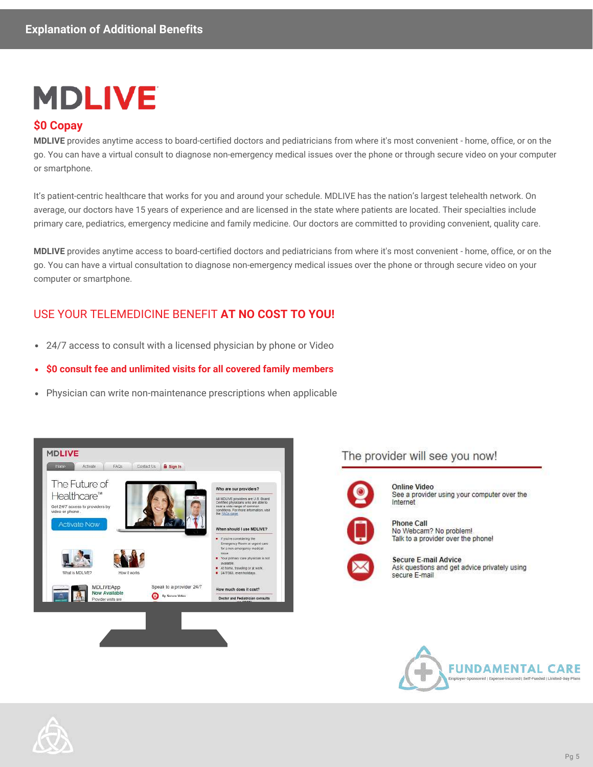# **MDLIVE**

## **\$0 Copay**

**MDLIVE** provides anytime access to board-certified doctors and pediatricians from where it's most convenient - home, office, or on the go. You can have a virtual consult to diagnose non-emergency medical issues over the phone or through secure video on your computer or smartphone.

It's patient-centric healthcare that works for you and around your schedule. MDLIVE has the nation's largest telehealth network. On average, our doctors have 15 years of experience and are licensed in the state where patients are located. Their specialties include primary care, pediatrics, emergency medicine and family medicine. Our doctors are committed to providing convenient, quality care.

**MDLIVE** provides anytime access to board-certified doctors and pediatricians from where it's most convenient - home, office, or on the go. You can have a virtual consultation to diagnose non-emergency medical issues over the phone or through secure video on your computer or smartphone.

### USE YOUR TELEMEDICINE BENEFIT **AT NO COST TO YOU!**

- 24/7 access to consult with a licensed physician by phone or Video  $\bullet$
- **\$0 consult fee and unlimited visits for all covered family members**  $\bullet$
- Physician can write non-maintenance prescriptions when applicable  $\bullet$



The provider will see you now!



Online Video See a provider using your computer over the Internet

**Phone Call** No Webcam? No problem! Talk to a provider over the phone!



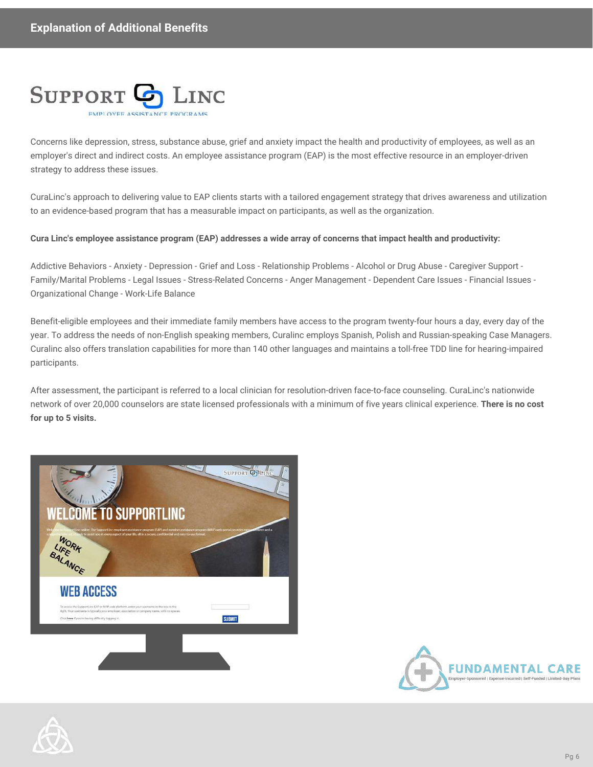

Concerns like depression, stress, substance abuse, grief and anxiety impact the health and productivity of employees, as well as an employer's direct and indirect costs. An employee assistance program (EAP) is the most effective resource in an employer-driven strategy to address these issues.

CuraLinc's approach to delivering value to EAP clients starts with a tailored engagement strategy that drives awareness and utilization to an evidence-based program that has a measurable impact on participants, as well as the organization.

### **Cura Linc's employee assistance program (EAP) addresses a wide array of concerns that impact health and productivity:**

Addictive Behaviors - Anxiety - Depression - Grief and Loss - Relationship Problems - Alcohol or Drug Abuse - Caregiver Support - Family/Marital Problems - Legal Issues - Stress-Related Concerns - Anger Management - Dependent Care Issues - Financial Issues - Organizational Change - Work-Life Balance

Benefit-eligible employees and their immediate family members have access to the program twenty-four hours a day, every day of the year. To address the needs of non-English speaking members, Curalinc employs Spanish, Polish and Russian-speaking Case Managers. Curalinc also offers translation capabilities for more than 140 other languages and maintains a toll-free TDD line for hearing-impaired participants.

After assessment, the participant is referred to a local clinician for resolution-driven face-to-face counseling. CuraLinc's nationwide network of over 20,000 counselors are state licensed professionals with a minimum of five years clinical experience. **There is no cost for up to 5 visits.**